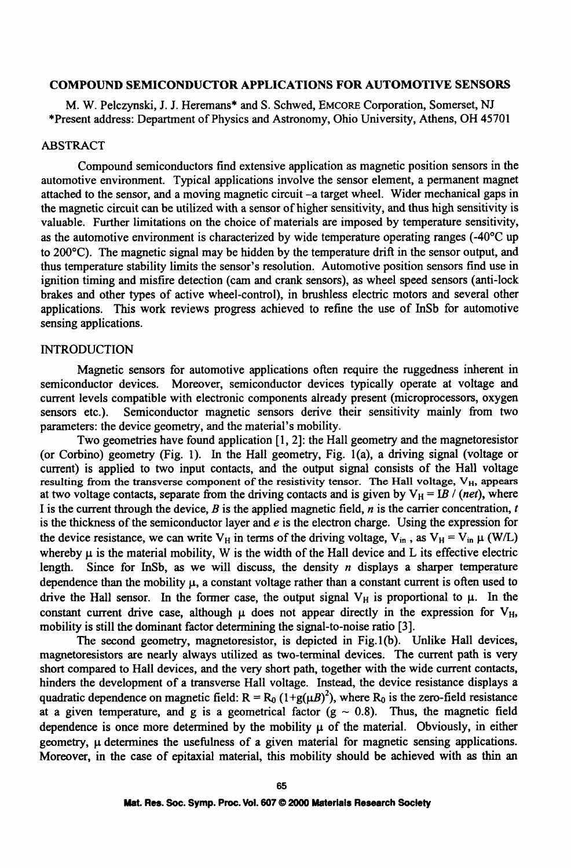## **COMPOUND SEMICONDUCTOR APPLICATIONS** FOR **AUTOMOTIVE** SENSORS

M. W. Pelczynski, J. J. Heremans\* and S. Schwed, EMCORE Corporation, Somerset, NJ \*Present address: Department of Physics and Astronomy, Ohio University, Athens, OH 45701

# ABSTRACT

Compound semiconductors find extensive application as magnetic position sensors in the automotive environment. Typical applications involve the sensor element, a permanent magnet attached to the sensor, and a moving magnetic circuit -a target wheel. Wider mechanical gaps in the magnetic circuit can be utilized with a sensor of higher sensitivity, and thus high sensitivity is valuable. Further limitations on the choice of materials are imposed by temperature sensitivity, as the automotive environment is characterized by wide temperature operating ranges (-40'C up to 200'C). The magnetic signal may be hidden by the temperature drift in the sensor output, and thus temperature stability limits the sensor's resolution. Automotive position sensors find use in ignition timing and misfire detection (cam and crank sensors), as wheel speed sensors (anti-lock brakes and other types of active wheel-control), in brushless electric motors and several other applications. This work reviews progress achieved to refine the use of InSb for automotive sensing applications.

#### INTRODUCTION

Magnetic sensors for automotive applications often require the ruggedness inherent in semiconductor devices. Moreover, semiconductor devices typically operate at voltage and current levels compatible with electronic components already present (microprocessors, oxygen sensors etc.). Semiconductor magnetic sensors derive their sensitivity mainly from two parameters: the device geometry, and the material's mobility.

Two geometries have found application [1, 2]: the Hall geometry and the magnetoresistor (or Corbino) geometry (Fig. 1). In the Hall geometry, Fig. 1(a), a driving signal (voltage or current) is applied to two input contacts, and the output signal consists of the Hall voltage resulting from the transverse component of the resistivity tensor. The Hall voltage, V<sub>H</sub>, appears at two voltage contacts, separate from the driving contacts and is given by  $V_H = IB / (net)$ , where I is the current through the device,  $B$  is the applied magnetic field,  $n$  is the carrier concentration,  $t$ is the thickness of the semiconductor layer and  $e$  is the electron charge. Using the expression for the device resistance, we can write  $V_H$  in terms of the driving voltage,  $V_{in}$ , as  $V_H = V_{in} \mu$  (W/L) whereby  $\mu$  is the material mobility, W is the width of the Hall device and L its effective electric length. Since for InSb, as we will discuss, the density  $n$  displays a sharper temperature dependence than the mobility  $\mu$ , a constant voltage rather than a constant current is often used to drive the Hall sensor. In the former case, the output signal  $V_H$  is proportional to  $\mu$ . In the constant current drive case, although  $\mu$  does not appear directly in the expression for V<sub>H</sub>, mobility is still the dominant factor determining the signal-to-noise ratio [3].

The second geometry, magnetoresistor, is depicted in Fig. 1(b). Unlike Hall devices, magnetoresistors are nearly always utilized as two-terminal devices. The current path is very short compared to Hall devices, and the very short path, together with the wide current contacts, hinders the development of a transverse Hall voltage. Instead, the device resistance displays a quadratic dependence on magnetic field:  $R = R_0 (1 + g(\mu B)^2)$ , where  $R_0$  is the zero-field resistance at a given temperature, and g is a geometrical factor  $(g \sim 0.8)$ . Thus, the magnetic field dependence is once more determined by the mobility  $\mu$  of the material. Obviously, in either geometry,  $\mu$  determines the usefulness of a given material for magnetic sensing applications. Moreover, in the case of epitaxial material, this mobility should be achieved with as thin an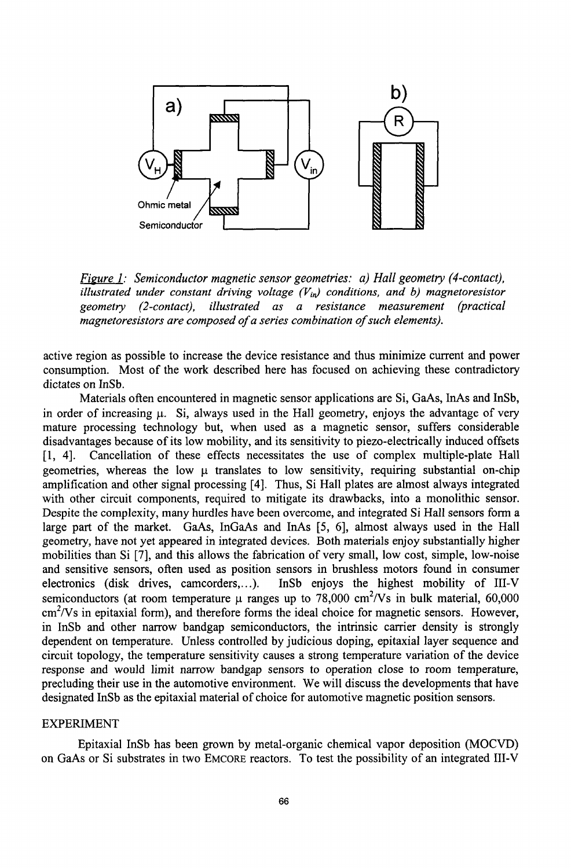

*Figure 1: Semiconductor magnetic sensor geometries: a) Hall geometry (4-contact), illustrated under constant driving voltage*  $(V_{in})$  *conditions, and b) magnetoresistor geometry (2-contact), illustrated as a resistance measurement (practical magnetoresistors are composed of a series combination of such elements).*

active region as possible to increase the device resistance and thus minimize current and power consumption. Most of the work described here has focused on achieving these contradictory dictates on InSb.

Materials often encountered in magnetic sensor applications are Si, GaAs, InAs and InSb, in order of increasing  $\mu$ . Si, always used in the Hall geometry, enjoys the advantage of very mature processing technology but, when used as a magnetic sensor, suffers considerable disadvantages because of its low mobility, and its sensitivity to piezo-electrically induced offsets [1, 4]. Cancellation of these effects necessitates the use of complex multiple-plate Hall geometries, whereas the low  $\mu$  translates to low sensitivity, requiring substantial on-chip amplification and other signal processing [4]. Thus, Si Hall plates are almost always integrated with other circuit components, required to mitigate its drawbacks, into a monolithic sensor. Despite the complexity, many hurdles have been overcome, and integrated Si Hall sensors form a large part of the market. GaAs, InGaAs and InAs [5, 6], almost always used in the Hall geometry, have not yet appeared in integrated devices. Both materials enjoy substantially higher mobilities than Si [7], and this allows the fabrication of very small, low cost, simple, low-noise and sensitive sensors, often used as position sensors in brushless motors found in consumer electronics (disk drives, camcorders,...). InSb enjoys the highest mobility of III-V semiconductors (at room temperature  $\mu$  ranges up to 78,000 cm<sup>2</sup>/Vs in bulk material, 60,000  $cm<sup>2</sup>/Vs$  in epitaxial form), and therefore forms the ideal choice for magnetic sensors. However, in InSb and other narrow bandgap semiconductors, the intrinsic carrier density is strongly dependent on temperature. Unless controlled by judicious doping, epitaxial layer sequence and circuit topology, the temperature sensitivity causes a strong temperature variation of the device response and would limit narrow bandgap sensors to operation close to room temperature, precluding their use in the automotive environment. We will discuss the developments that have designated InSb as the epitaxial material of choice for automotive magnetic position sensors.

#### EXPERIMENT

Epitaxial InSb has been grown by metal-organic chemical vapor deposition (MOCVD) on GaAs or Si substrates in two EMCORE reactors. To test the possibility of an integrated III-V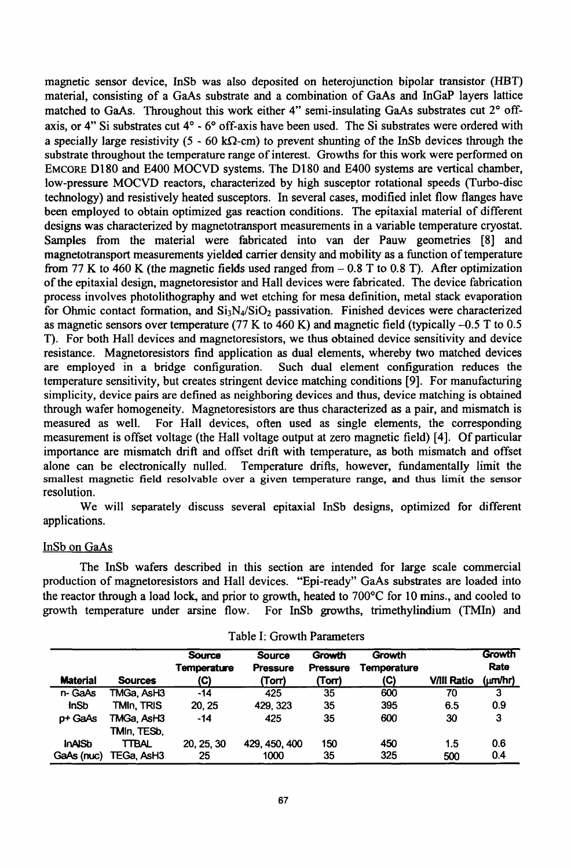magnetic sensor device, InSb was also deposited on heterojunction bipolar transistor (HBT) material, consisting of a GaAs substrate and a combination of GaAs and InGaP layers lattice matched to GaAs. Throughout this work either 4" semi-insulating GaAs substrates cut **20** offaxis, or 4" Si substrates cut **40** - **6'** off-axis have been used. The Si substrates were ordered with a specially large resistivity (5 - 60 k $\Omega$ -cm) to prevent shunting of the InSb devices through the substrate throughout the temperature range of interest. Growths for this work were performed on EMCORE D180 and E400 MOCVD systems. The D180 and E400 systems are vertical chamber, low-pressure MOCVD reactors, characterized by high susceptor rotational speeds (Turbo-disc technology) and resistively heated susceptors. In several cases, modified inlet flow flanges have been employed to obtain optimized gas reaction conditions. The epitaxial material of different designs was characterized by magnetotransport measurements in a variable temperature cryostat. Samples from the material were fabricated into van der Pauw geometries [8] and magnetotransport measurements yielded carrier density and mobility as a function of temperature from 77 K to 460 K (the magnetic fields used ranged from  $-0.8$  T to 0.8 T). After optimization of the epitaxial design, magnetoresistor and Hall devices were fabricated. The device fabrication process involves photolithography and wet etching for mesa definition, metal stack evaporation for Ohmic contact formation, and  $Si<sub>3</sub>N<sub>4</sub>/SiO<sub>2</sub>$  passivation. Finished devices were characterized as magnetic sensors over temperature (77 K to 460 K) and magnetic field (typically -0.5 T to 0.5 T). For both Hall devices and magnetoresistors, we thus obtained device sensitivity and device resistance. Magnetoresistors find application as dual elements, whereby two matched devices are employed in a bridge configuration. Such dual element configuration reduces the temperature sensitivity, but creates stringent device matching conditions [9]. For manufacturing simplicity, device pairs are defined as neighboring devices and thus, device matching is obtained through wafer homogeneity. Magnetoresistors are thus characterized as a pair, and mismatch is measured as well. For Hall devices, often used as single elements, the corresponding measurement is offset voltage (the Hall voltage output at zero magnetic field) [4]. Of particular importance are mismatch drift and offset drift with temperature, as both mismatch and offset alone can be electronically nulled. Temperature drifts, however, fundamentally limit the smallest magnetic field resolvable over a given temperature range, and thus limit the sensor resolution.

We will separately discuss several epitaxial InSb designs, optimized for different applications.

## InSb on GaAs

The InSb wafers described in this section are intended for large scale commercial production of magnetoresistors and Hall devices. "Epi-ready" GaAs substrates are loaded into the reactor through a load lock, and prior to growth, heated to 700'C for 10 mins., and cooled to growth temperature under arsine flow. For InSb growths, trimethylindium (TMIn) and

| <b>Material</b> | <b>Sources</b> | <b>Source</b><br>Temperature<br>(C) | <b>Source</b><br>Pressure<br>(Torr) | <b>Growth</b><br>Pressure<br>(Torr) | Growth<br>Temperature<br>(C) | <b>V/III Ratio</b> | Growth<br>Rate<br>(um/hr) |
|-----------------|----------------|-------------------------------------|-------------------------------------|-------------------------------------|------------------------------|--------------------|---------------------------|
| n-GaAs          | TMGa. AsH3     | $-14$                               | 425                                 | 35                                  | 600                          | 70                 | 3                         |
| <b>InSb</b>     | TMIn, TRIS     | 20.25                               | 429.323                             | 35                                  | 395                          | 6.5                | 0.9                       |
| p+ GaAs         | TMGa. AsH3     | $-14$                               | 425                                 | 35                                  | 600                          | 30                 | 3                         |
|                 | TMIn, TESb,    |                                     |                                     |                                     |                              |                    |                           |
| <b>InAISb</b>   | TTBAL          | 20, 25, 30                          | 429, 450, 400                       | 150                                 | 450                          | 1.5                | 0.6                       |
| GaAs (nuc)      | TEGa. AsH3     | 25                                  | 1000                                | 35                                  | 325                          | 500                | 0.4                       |

Table **1:** Growth Parameters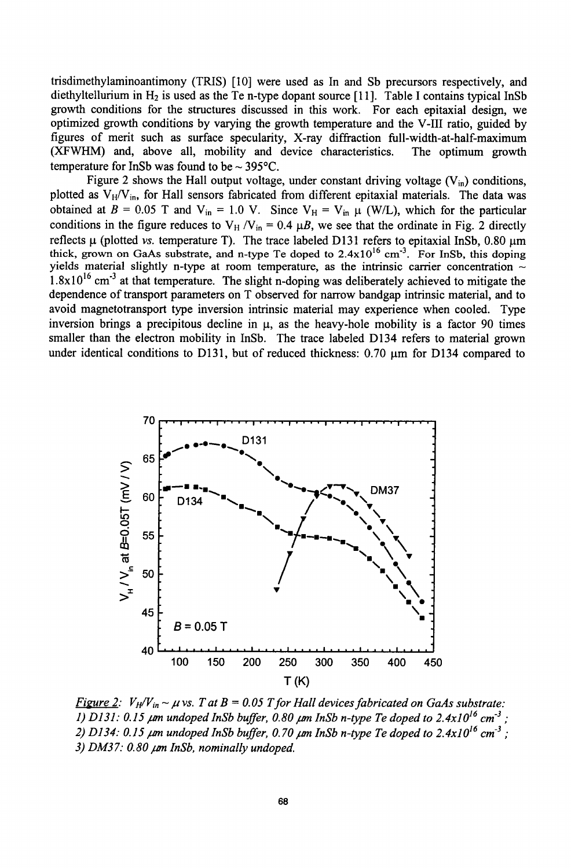trisdimethylaminoantimony (TRIS) [10] were used as In and Sb precursors respectively, and diethyltellurium in  $H_2$  is used as the Te n-type dopant source [11]. Table I contains typical InSb growth conditions for the structures discussed in this work. For each epitaxial design, we optimized growth conditions by varying the growth temperature and the V-III ratio, guided by figures of merit such as surface specularity, X-ray diffraction full-width-at-half-maximum (XFWHM) and, above all, mobility and device characteristics. The optimum growth temperature for InSb was found to be  $\sim$  395 $^{\circ}$ C.

Figure 2 shows the Hall output voltage, under constant driving voltage  $(V_{in})$  conditions, plotted as  $V_H/V_{in}$ , for Hall sensors fabricated from different epitaxial materials. The data was obtained at  $B = 0.05$  T and  $V_{in} = 1.0$  V. Since  $V_H = V_{in}$   $\mu$  (W/L), which for the particular conditions in the figure reduces to  $V_H / V_{in} = 0.4 \mu B$ , we see that the ordinate in Fig. 2 directly reflects  $\mu$  (plotted vs. temperature T). The trace labeled D131 refers to epitaxial InSb, 0.80  $\mu$ m thick, grown on GaAs substrate, and n-type Te doped to 2.4x10<sup>16</sup> cm<sup>-3</sup>. For InSb, this doping yields material slightly n-type at room temperature, as the intrinsic carrier concentration  $\sim$ yields material slightly n-type at room temperature, as the intrinsic carrier concentration  $\sim$  1.8x10<sup>16</sup> cm<sup>-3</sup> at that temperature. The slight n-doping was deliberately achieved to mitigate the dependence of transport parameters on T observed for narrow bandgap intrinsic material, and to avoid magnetotransport type inversion intrinsic material may experience when cooled. Type inversion brings a precipitous decline in  $\mu$ , as the heavy-hole mobility is a factor 90 times smaller than the electron mobility in InSb. The trace labeled D134 refers to material grown under identical conditions to D131, but of reduced thickness:  $0.70 \text{ µm}$  for D134 compared to



*Figure 2:*  $V_H/V_{in} \sim \mu$  vs. T at B = 0.05 T for Hall devices fabricated on GaAs substrate: *1) D131: 0.15*  $\mu$ *m undoped InSb buffer, 0.80*  $\mu$ *m InSb n-type Te doped to 2.4x10<sup>16</sup> cm<sup>-3</sup> :* 2) D134: 0.15  $\mu$ m undoped InSb buffer, 0.70  $\mu$ m InSb n-type Te doped to 2.4x10<sup>16</sup> cm<sup>-3</sup>; *3) DM3 7. 0.80 /M InSb, nominally undoped.*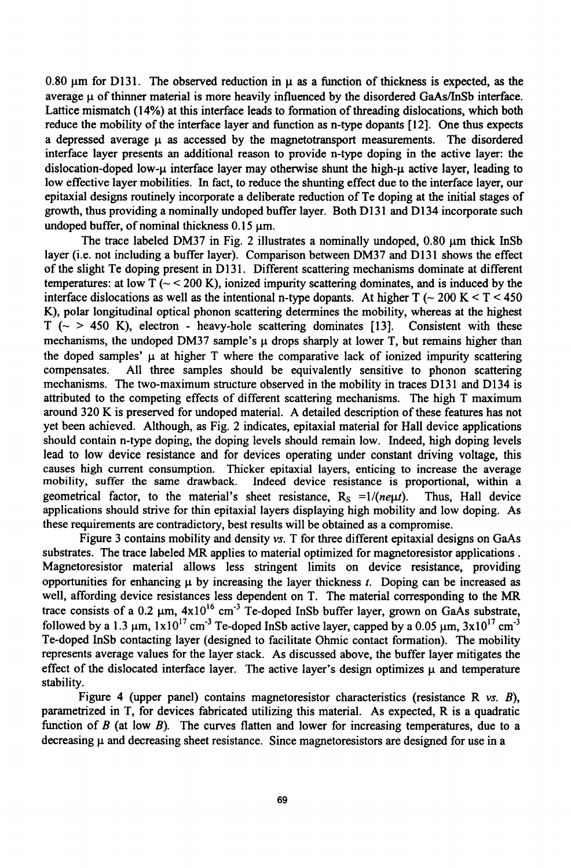0.80  $\mu$ m for D131. The observed reduction in  $\mu$  as a function of thickness is expected, as the average **p** of thinner material is more heavily influenced by the disordered GaAs/InSb interface. Lattice mismatch (14%) at this interface leads to formation of threading dislocations, which both reduce the mobility of the interface layer and function as n-type dopants [12]. One thus expects a depressed average  $\mu$  as accessed by the magnetotransport measurements. The disordered interface layer presents an additional reason to provide n-type doping in the active layer: the dislocation-doped low- $\mu$  interface layer may otherwise shunt the high- $\mu$  active layer, leading to low effective layer mobilities. In fact, to reduce the shunting effect due to the interface layer, our epitaxial designs routinely incorporate a deliberate reduction of Te doping at the initial stages of growth, thus providing a nominally undoped buffer layer. Both D131 and D134 incorporate such undoped buffer, of nominal thickness  $0.15$   $\mu$ m.

The trace labeled DM37 in Fig. 2 illustrates a nominally undoped,  $0.80 \mu m$  thick InSb layer (i.e. not including a buffer layer). Comparison between DM37 and D131 shows the effect of the slight Te doping present in **D131.** Different scattering mechanisms dominate at different temperatures: at low  $T \sim 200$  K), ionized impurity scattering dominates, and is induced by the interface dislocations as well as the intentional n-type dopants. At higher T ( $\sim$  200 K  $\lt$  T  $\lt$  450 K), polar longitudinal optical phonon scattering determines the mobility, whereas at the highest  $T$  ( $\sim$   $>$  450 K), electron - heavy-hole scattering dominates [13]. Consistent with these mechanisms, the undoped DM37 sample's  $\mu$  drops sharply at lower T, but remains higher than the doped samples' **ji** at higher T where the comparative lack of ionized impurity scattering compensates. All three samples should be equivalently sensitive to phonon scattering mechanisms. The two-maximum structure observed in the mobility in traces D131 and D134 is attributed to the competing effects of different scattering mechanisms. The high T maximum around 320 K is preserved for undoped material. A detailed description of these features has not yet been achieved. Although, as Fig. 2 indicates, epitaxial material for Hall device applications should contain n-type doping, the doping levels should remain low. Indeed, high doping levels lead to low device resistance and for devices operating under constant driving voltage, this causes high current consumption. Thicker epitaxial layers, enticing to increase the average mobility, suffer the same drawback. Indeed device resistance is proportional, within a geometrical factor, to the material's sheet resistance,  $R_s = 1/(ne\mu t)$ . Thus, Hall device applications should strive for thin epitaxial layers displaying high mobility and low doping. As these requirements are contradictory, best results will be obtained as a compromise.

Figure 3 contains mobility and density *vs.* T for three different epitaxial designs on GaAs substrates. The trace labeled MR applies to material optimized for magnetoresistor applications. Magnetoresistor material allows less stringent limits on device resistance, providing opportunities for enhancing  $\mu$  by increasing the layer thickness  $t$ . Doping can be increased as well, affording device resistances less dependent on T. The material corresponding to the MR trace consists of a 0.2  $\mu$ m,  $4x10^{16}$  cm<sup>-3</sup> Te-doped InSb buffer layer, grown on GaAs substrate, followed by a  $1.3 \mu m$ ,  $1 \times 10^{17} \text{ cm}^{-3}$  Te-doped InSb active layer, capped by a  $0.05 \mu m$ ,  $3 \times 10^{17} \text{ cm}^{-3}$ Te-doped InSb contacting layer (designed to facilitate Ohmic contact formation). The mobility represents average values for the layer stack. As discussed above, the buffer layer mitigates the effect of the dislocated interface layer. The active layer's design optimizes  $\mu$  and temperature stability.

Figure 4 (upper panel) contains magnetoresistor characteristics (resistance R *vs. B),* parametrized in T, for devices fabricated utilizing this material. As expected, R is a quadratic function of  $B$  (at low  $B$ ). The curves flatten and lower for increasing temperatures, due to a decreasing  $\mu$  and decreasing sheet resistance. Since magnetoresistors are designed for use in a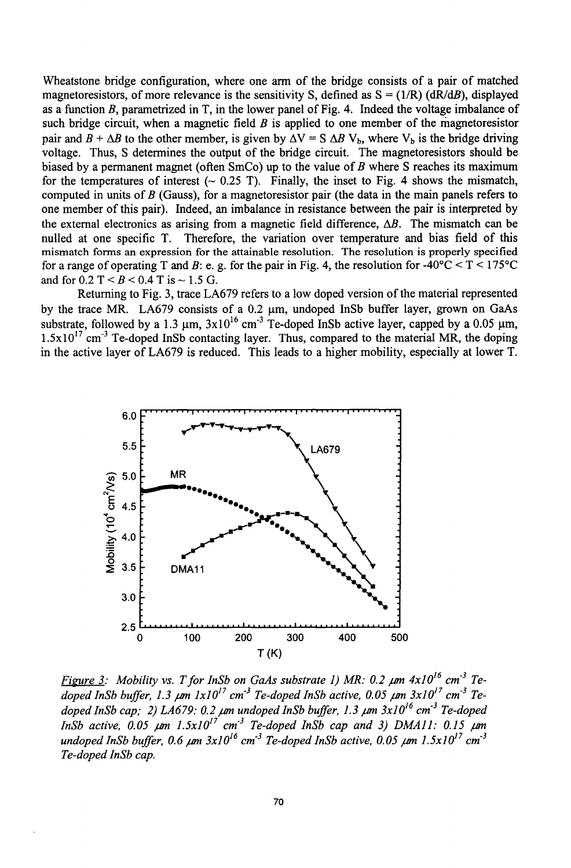Wheatstone bridge configuration, where one arm of the bridge consists of a pair of matched magnetoresistors, of more relevance is the sensitivity S, defined as  $S = (1/R)$  (dR/dB), displayed as a function B, parametrized in T, in the lower panel of Fig. 4. Indeed the voltage imbalance of such bridge circuit, when a magnetic field *B* is applied to one member of the magnetoresistor pair and  $B + \Delta B$  to the other member, is given by  $\Delta V = S \Delta B V_b$ , where  $V_b$  is the bridge driving voltage. Thus, S determines the output of the bridge circuit. The magnetoresistors should be biased by a permanent magnet (often  $SmCo$ ) up to the value of  $B$  where  $S$  reaches its maximum for the temperatures of interest  $\sim 0.25$  T). Finally, the inset to Fig. 4 shows the mismatch, computed in units of  $B$  (Gauss), for a magnetoresistor pair (the data in the main panels refers to one member of this pair). Indeed, an imbalance in resistance between the pair is interpreted by the external electronics as arising from a magnetic field difference,  $\Delta B$ . The mismatch can be nulled at one specific T. Therefore, the variation over temperature and bias field of this mismatch forms an expression for the attainable resolution. The resolution is properly specified for a range of operating T and B: e. g. for the pair in Fig. 4, the resolution for  $-40^{\circ}\text{C} < T < 175^{\circ}\text{C}$ and for  $0.2$  T  $\leq B \leq 0.4$  T is  $\sim 1.5$  G.

Returning to Fig. 3, trace LA679 refers to a low doped version of the material represented by the trace MR. LA679 consists of a  $0.2 \mu m$ , undoped InSb buffer layer, grown on GaAs substrate, followed by a  $1.3 \mu m$ ,  $3x10^{16} cm^{-3}$  Te-doped InSb active layer, capped by a 0.05  $\mu$ m,  $1.5x10^{17}$  cm<sup>-3</sup> Te-doped InSb contacting layer. Thus, compared to the material MR, the doping in the active layer of LA679 is reduced. This leads to a higher mobility, especially at lower T.



*Figure 3:* Mobility vs. T for InSb on GaAs substrate 1) MR: 0.2  $\mu$ m 4x10<sup>16</sup> cm<sup>-3</sup> Te- $\frac{d}{dx}$  *doped InSb buffer, 1.3*  $\mu$ *m*  $1x10^{17}$  *cm<sup>-3</sup> Te-doped InSb active, 0.05*  $\mu$ *m*  $3x10^{17}$  *cm<sup>-3</sup> Tedoped InSb cap; 2) LA679: 0.2*  $\mu$ *m undoped InSb buffer, 1.3*  $\mu$ *m 3x10<sup>16</sup> cm<sup>-3</sup> Te-doped InSb active, 0.05*  $\mu$ *m 1.5x10<sup>17</sup> cm<sup>-3</sup> Te-doped InSb cap and 3) DMA11: 0.15*  $\mu$ *m<br>undoped InSb buffer, 0.6*  $\mu$ *m 3x10<sup>16</sup> cm<sup>-3</sup> Te-doped InSb active, 0.05*  $\mu$ *m 1.5x10<sup>17</sup> cm<sup>-3</sup> Te-doped InSb cap.*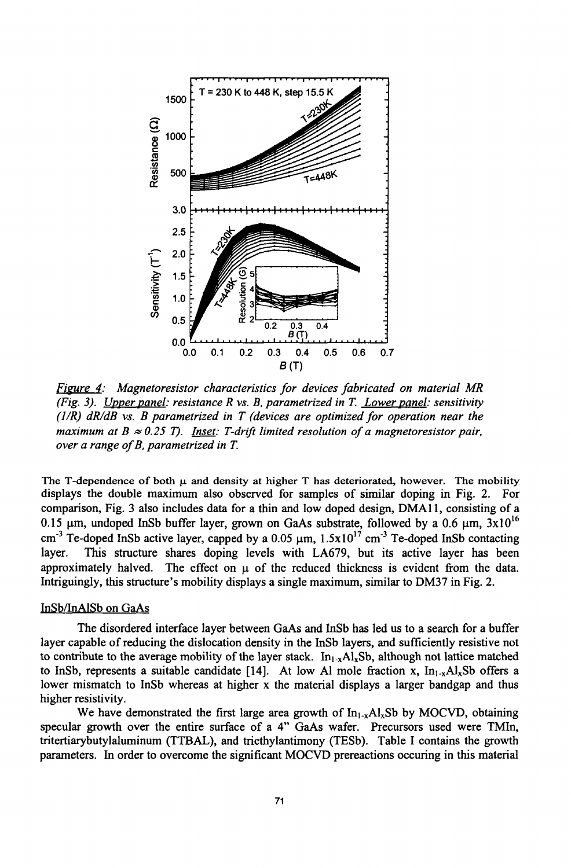

*Figure 4: Magnetoresistor characteristics for devices fabricated on material MR (Fig. 3). Upper Danel: resistance R vs. B, parametrized in T. Lower panel: sensitivity (JIR) dR/dB vs. B parametrized in T (devices are optimized for operation near the maximum at B*  $\approx 0.25$  *T). Inset: T-drift limited resolution of a magnetoresistor pair, over a range of B, parametrized in T.*

The T-dependence of both  $\mu$  and density at higher T has deteriorated, however. The mobility displays the double maximum also observed for samples of similar doping in Fig. 2. For comparison, Fig. 3 also includes data for a thin and low doped design, DMA1 1, consisting of a 0.15  $\mu$ m, undoped InSb buffer layer, grown on GaAs substrate, followed by a 0.6  $\mu$ m, 3x10<sup>16</sup> cm<sup>-3</sup> Te-doped InSb active layer, capped by a  $0.05 \mu m$ ,  $1.5x10^{17}$  cm<sup>-3</sup> Te-doped InSb contacting layer. This structure shares doping levels with LA679, but its active layer has been approximately halved. The effect on  $\mu$  of the reduced thickness is evident from the data. Intriguingly, this structure's mobility displays a single maximum, similar to DM37 in Fig. 2.

#### InSb/InAlSb on GaAs

The disordered interface layer between GaAs and InSb has led us to a search for a buffer layer capable of reducing the dislocation density in the InSb layers, and sufficiently resistive not to contribute to the average mobility of the layer stack.  $In<sub>1-x</sub>AI<sub>x</sub>Sh$ , although not lattice matched to InSb, represents a suitable candidate [14]. At low Al mole fraction x,  $In<sub>1-x</sub>Al<sub>x</sub>Sb$  offers a lower mismatch to InSb whereas at higher x the material displays a larger bandgap and thus higher resistivity.

We have demonstrated the first large area growth of  $In_{1-x}Al_xSb$  by MOCVD, obtaining specular growth over the entire surface of a 4" GaAs wafer. Precursors used were TMIn, tritertiarybutylaluminum (TTBAL), and triethylantimony (TESb). Table I contains the growth parameters. In order to overcome the significant MOCVD prereactions occuring in this material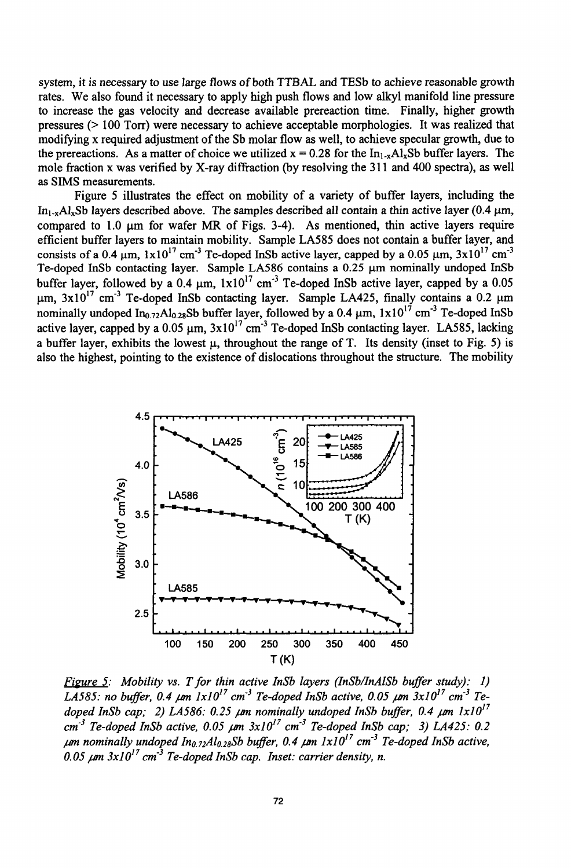system, it is necessary to use large flows of both TTBAL and TESb to achieve reasonable growth rates. We also found it necessary to apply high push flows and low alkyl manifold line pressure to increase the gas velocity and decrease available prereaction time. Finally, higher growth pressures (> 100 Torr) were necessary to achieve acceptable morphologies. It was realized that modifying x required adjustment of the Sb molar flow as well, to achieve specular growth, due to the prereactions. As a matter of choice we utilized  $x = 0.28$  for the In<sub>1</sub>, Al<sub>x</sub>Sb buffer layers. The mole fraction x was verified by X-ray diffraction (by resolving the 311 and 400 spectra), as well as SIMS measurements.

Figure 5 illustrates the effect on mobility of a variety of buffer layers, including the  $In_{1-x}Al_xSb$  layers described above. The samples described all contain a thin active layer (0.4  $\mu$ m, compared to  $1.0 \text{ µm}$  for wafer MR of Figs. 3-4). As mentioned, thin active layers require efficient buffer layers to maintain mobility. Sample LA585 does not contain a buffer layer, and consists of a 0.4  $\mu$ m,  $1x10^{17}$  cm<sup>-3</sup> Te-doped InSb active layer, capped by a 0.05  $\mu$ m, 3x10<sup>17</sup> cm<sup>-3</sup> Te-doped InSb contacting layer. Sample LA586 contains a 0.25 µm nominally undoped InSb buffer layer, followed by a  $0.4 \mu m$ ,  $1x10^{17} cm^{-3}$  Te-doped InSb active layer, capped by a 0.05  $\mu$ m, 3x10<sup>17</sup> cm<sup>-3</sup> Te-doped InSb contacting layer. Sample LA425, finally contains a 0.2  $\mu$ m nominally undoped In<sub>0.72</sub>Al<sub>0.28</sub>Sb buffer layer, followed by a 0.4  $\mu$ m,  $1 \times 10^{17}$  cm<sup>-3</sup> Te-doped InSb active layer, capped by a 0.05  $\mu$ m,  $3x10^{17}$  cm<sup>-3</sup> Te-doped InSb contacting layer. LA585, lacking a buffer layer, exhibits the lowest  $\mu$ , throughout the range of T. Its density (inset to Fig. 5) is also the highest, pointing to the existence of dislocations throughout the structure. The mobility



*Figure 5: Mobility vs. T for thin active InSb layers (InSb/InAlSb buffer study): 1)*  $\frac{1}{4.4585}$ : no buffer, 0.4  $\mu$ m  $1x10^{17}$  cm<sup>-3</sup> Te-doped InSb active, 0.05  $\mu$ m  $3x10^{17}$  cm<sup>-3</sup> Tedoped InSb cap; 2) LA586: 0.25  $\mu$ m nominally undoped InSb buffer, 0.4  $\mu$ m  $1 \times 10^{17}$ *cm3 Te-doped InSb active, 0.05 pm 3x1017 cm3 Te-doped InSb cap; 3) LA425: 0.2 pM nominally undoped 1no. 72Al 0. 28Sb buffer, 0.4 pM lxO17 cm-3 Te-doped InSb active,*  $0.05 \mu m$   $3x10^{17}$  cm<sup>-3</sup> Te-doped InSb cap. Inset: carrier density, n.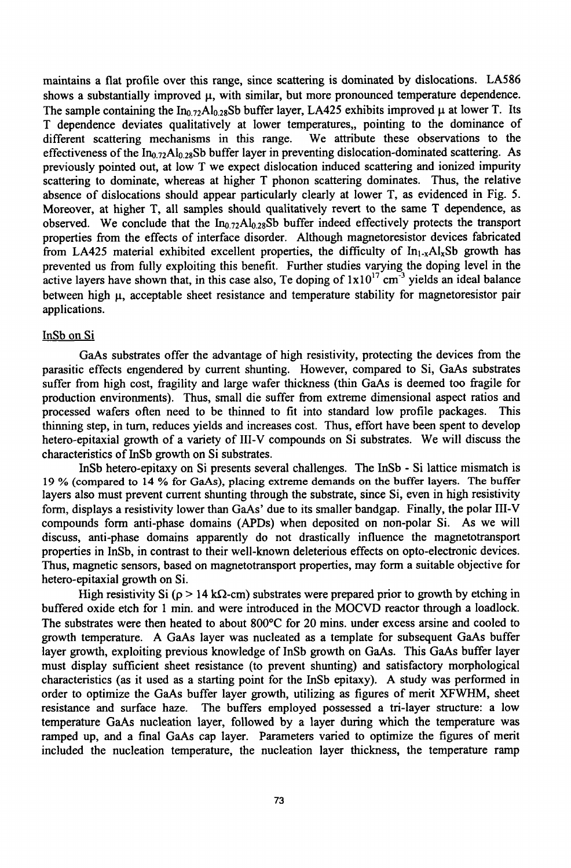maintains a flat profile over this range, since scattering is dominated by dislocations. LA586 shows a substantially improved  $\mu$ , with similar, but more pronounced temperature dependence. The sample containing the  $In_{0.72}Al_{0.28}Sb$  buffer layer, LA425 exhibits improved  $\mu$  at lower T. Its T dependence deviates qualitatively at lower temperatures,, pointing to the dominance of different scattering mechanisms in this range. We attribute these observations to the different scattering mechanisms in this range. effectiveness of the  $In_{0.72}Al_{0.28}Sb$  buffer layer in preventing dislocation-dominated scattering. As previously pointed out, at low T we expect dislocation induced scattering and ionized impurity scattering to dominate, whereas at higher T phonon scattering dominates. Thus, the relative absence of dislocations should appear particularly clearly at lower T, as evidenced in Fig. 5. Moreover, at higher T, all samples should qualitatively revert to the same T dependence, as observed. We conclude that the  $In_{0.72}Al_{0.28}Sb$  buffer indeed effectively protects the transport properties from the effects of interface disorder. Although magnetoresistor devices fabricated from LA425 material exhibited excellent properties, the difficulty of  $In_{1-x}Al_xSb$  growth has prevented us from fully exploiting this benefit. Further studies varying the doping level in the active layers have shown that, in this case also, Te doping of  $1x10^{17}$  cm<sup>-3</sup> yields an ideal balance between high  $\mu$ , acceptable sheet resistance and temperature stability for magnetoresistor pair applications.

#### InSb on Si

GaAs substrates offer the advantage of high resistivity, protecting the devices from the parasitic effects engendered by current shunting. However, compared to Si, GaAs substrates suffer from high cost, fragility and large wafer thickness (thin GaAs is deemed too fragile for production environments). Thus, small die suffer from extreme dimensional aspect ratios and processed wafers often need to be thinned to fit into standard low profile packages. This thinning step, in turn, reduces yields and increases cost. Thus, effort have been spent to develop hetero-epitaxial growth of a variety of Ill-V compounds on Si substrates. We will discuss the characteristics of InSb growth on Si substrates.

InSb hetero-epitaxy on Si presents several challenges. The InSb - Si lattice mismatch is 19 % (compared to 14 % for GaAs), placing extreme demands on the buffer layers. The buffer layers also must prevent current shunting through the substrate, since Si, even in high resistivity form, displays a resistivity lower than GaAs' due to its smaller bandgap. Finally, the polar III-V compounds form anti-phase domains (APDs) when deposited on non-polar Si. As we will discuss, anti-phase domains apparently do not drastically influence the magnetotransport properties in InSb, in contrast to their well-known deleterious effects on opto-electronic devices. Thus, magnetic sensors, based on magnetotransport properties, may form a suitable objective for hetero-epitaxial growth on Si.

High resistivity Si ( $p > 14$  k $\Omega$ -cm) substrates were prepared prior to growth by etching in buffered oxide etch for 1 min. and were introduced in the MOCVD reactor through a loadlock. The substrates were then heated to about 800'C for 20 mins. under excess arsine and cooled to growth temperature. A GaAs layer was nucleated as a template for subsequent GaAs buffer layer growth, exploiting previous knowledge of InSb growth on GaAs. This GaAs buffer layer must display sufficient sheet resistance (to prevent shunting) and satisfactory morphological characteristics (as it used as a starting point for the InSb epitaxy). A study was performed in order to optimize the GaAs buffer layer growth, utilizing as figures of merit XFWHM, sheet resistance and surface haze. The buffers employed possessed a tri-layer structure: a low temperature GaAs nucleation layer, followed by a layer during which the temperature was ramped up, and a final GaAs cap layer. Parameters varied to optimize the figures of merit included the nucleation temperature, the nucleation layer thickness, the temperature ramp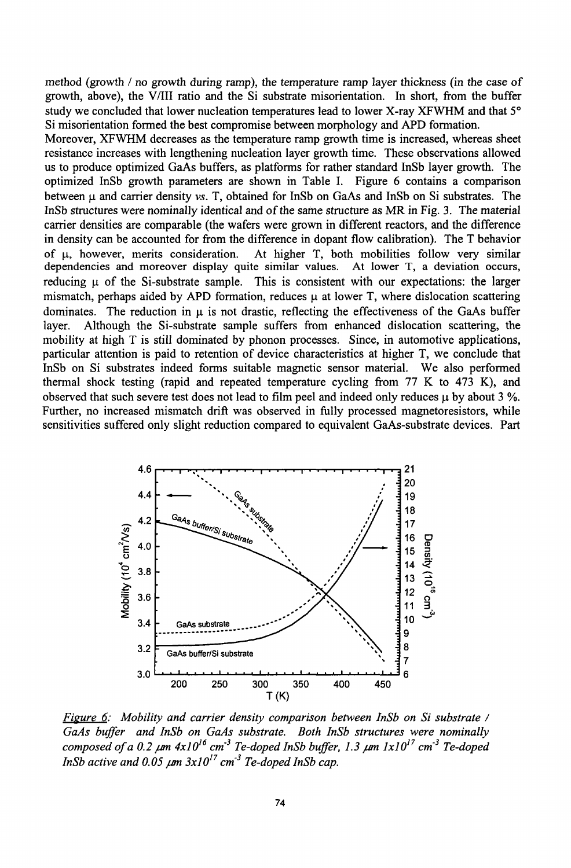method (growth / no growth during ramp), the temperature ramp layer thickness (in the case of growth, above), the V/II ratio and the Si substrate misorientation. In short, from the buffer study we concluded that lower nucleation temperatures lead to lower X-ray XFWHM and that *50* Si misorientation formed the best compromise between morphology and APD formation.

Moreover, XFWHM decreases as the temperature ramp growth time is increased, whereas sheet resistance increases with lengthening nucleation layer growth time. These observations allowed us to produce optimized GaAs buffers, as platforms for rather standard InSb layer growth. The optimized InSb growth parameters are shown in Table I. Figure 6 contains a comparison between **pj** and carrier density *vs.* T, obtained for InSb on GaAs and InSb on Si substrates. The InSb structures were nominally identical and of the same structure as MR in Fig. 3. The material carrier densities are comparable (the wafers were grown in different reactors, and the difference in density can be accounted for from the difference in dopant flow calibration). The T behavior of **it,** however, merits consideration. At higher T, both mobilities follow very similar dependencies and moreover display quite similar values. At lower T, a deviation occurs, reducing  $\mu$  of the Si-substrate sample. This is consistent with our expectations: the larger mismatch, perhaps aided by APD formation, reduces  $\mu$  at lower T, where dislocation scattering dominates. The reduction in  $\mu$  is not drastic, reflecting the effectiveness of the GaAs buffer layer. Although the Si-substrate sample suffers from enhanced dislocation scattering, the mobility at high T is still dominated by phonon processes. Since, in automotive applications, particular attention is paid to retention of device characteristics at higher T, we conclude that InSb on Si substrates indeed forms suitable magnetic sensor material. We also performed thermal shock testing (rapid and repeated temperature cycling from 77 K to 473 K), and observed that such severe test does not lead to film peel and indeed only reduces **ji** by about 3 **%.** Further, no increased mismatch drift was observed in fully processed magnetoresistors, while sensitivities suffered only slight reduction compared to equivalent GaAs-substrate devices. Part



*Figure 6: Mobility and carrier density comparison between InSb on Si substrate* **/** *GaAs buffer and InSb on GaAs substrate. Both InSb structures were nominally composed of a 0.2 an 4x]016 cm3 Te-doped InSb buffer, 1.3 pmn xIO17 cm-3 Te-doped InSb active and 0.05*  $\mu$ *m 3x10<sup>17</sup> cm<sup>-3</sup> Te-doped InSb cap.*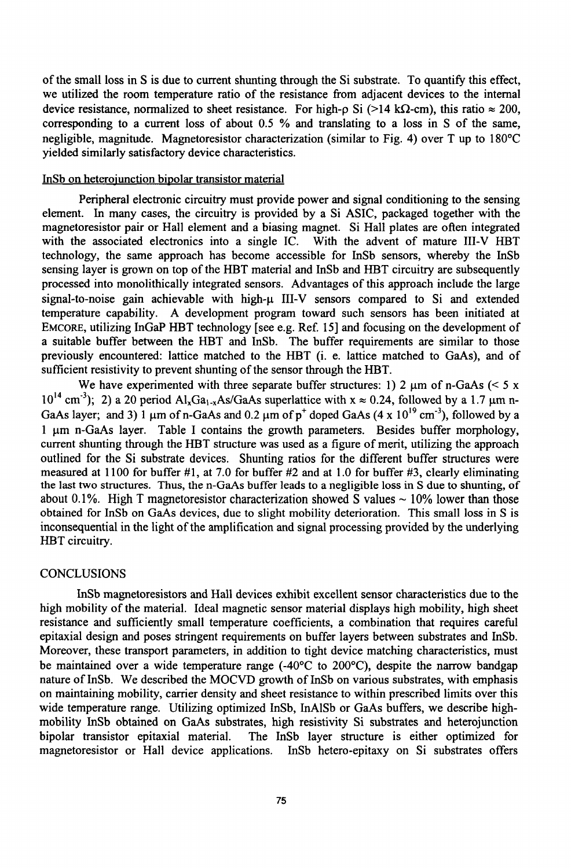of the small loss in S is due to current shunting through the Si substrate. To quantify this effect, we utilized the room temperature ratio of the resistance from adjacent devices to the internal device resistance, normalized to sheet resistance. For high-p Si (>14 k $\Omega$ -cm), this ratio  $\approx 200$ , corresponding to a current loss of about 0.5 % and translating to a loss in S of the same, negligible, magnitude. Magnetoresistor characterization (similar to Fig. 4) over T up to 180'C yielded similarly satisfactory device characteristics.

## InSb on heterojunction bipolar transistor material

Peripheral electronic circuitry must provide power and signal conditioning to the sensing element. In many cases, the circuitry is provided by a Si ASIC, packaged together with the magnetoresistor pair or Hall element and a biasing magnet. Si Hall plates are often integrated with the associated electronics into a single IC. With the advent of mature III-V HBT technology, the same approach has become accessible for InSb sensors, whereby the InSb sensing layer is grown on top of the HBT material and InSb and HBT circuitry are subsequently processed into monolithically integrated sensors. Advantages of this approach include the large signal-to-noise gain achievable with high- $\mu$  III-V sensors compared to Si and extended temperature capability. A development program toward such sensors has been initiated at EMCORE, utilizing InGaP HBT technology [see e.g. Ref. 15] and focusing on the development of a suitable buffer between the HBT and InSb. The buffer requirements are similar to those previously encountered: lattice matched to the HBT (i. e. lattice matched to GaAs), and of sufficient resistivity to prevent shunting of the sensor through the HBT.

We have experimented with three separate buffer structures: 1) 2  $\mu$ m of n-GaAs (< 5 x  $10^{14}$  cm<sup>-3</sup>); 2) a 20 period Al<sub>x</sub>Ga<sub>1-x</sub>As/GaAs superlattice with x  $\approx 0.24$ , followed by a 1.7  $\mu$ m n-GaAs layer; and 3) 1  $\mu$ m of n-GaAs and 0.2  $\mu$ m of  $p^+$  doped GaAs (4 x 10<sup>19</sup> cm<sup>3</sup>), followed by a 1 um n-GaAs layer. Table I contains the growth parameters. Besides buffer morphology, current shunting through the HBT structure was used as a figure of merit, utilizing the approach outlined for the Si substrate devices. Shunting ratios for the different buffer structures were measured at 1100 for buffer  $\#1$ , at 7.0 for buffer  $\#2$  and at 1.0 for buffer  $\#3$ , clearly eliminating the last two structures. Thus, the n-GaAs buffer leads to a negligible loss in S due to shunting, of about 0.1%. High T magnetoresistor characterization showed S values  $\sim$  10% lower than those obtained for InSb on GaAs devices, due to slight mobility deterioration. This small loss in S is inconsequential in the light of the amplification and signal processing provided by the underlying HBT circuitry.

#### **CONCLUSIONS**

InSb magnetoresistors and Hall devices exhibit excellent sensor characteristics due to the high mobility of the material. Ideal magnetic sensor material displays high mobility, high sheet resistance and sufficiently small temperature coefficients, a combination that requires careful epitaxial design and poses stringent requirements on buffer layers between substrates and InSb. Moreover, these transport parameters, in addition to tight device matching characteristics, must be maintained over a wide temperature range  $(-40^{\circ}C)$  to  $200^{\circ}C$ ), despite the narrow bandgap nature of InSb. We described the MOCVD growth of InSb on various substrates, with emphasis on maintaining mobility, carrier density and sheet resistance to within prescribed limits over this wide temperature range. Utilizing optimized InSb, InAlSb or GaAs buffers, we describe highmobility InSb obtained on GaAs substrates, high resistivity Si substrates and heterojunction bipolar transistor epitaxial material. The InSb layer structure is either optimized for magnetoresistor or Hall device applications. InSb hetero-epitaxy on Si substrates offers